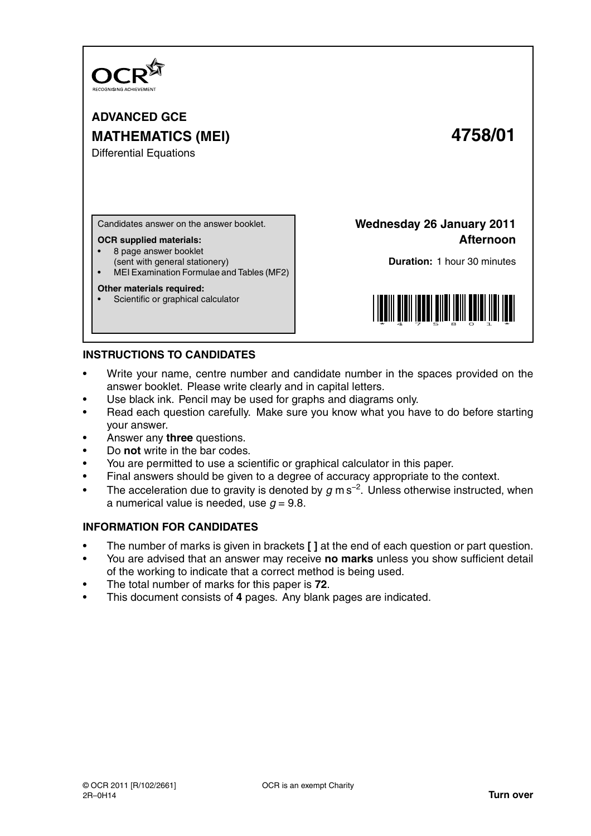

**ADVANCED GCE MATHEMATICS (MEI) 4758/01**

Differential Equations

Candidates answer on the answer booklet.

#### **OCR supplied materials:**

- 8 page answer booklet
- (sent with general stationery)
- MEI Examination Formulae and Tables (MF2)

### **Other materials required:**

Scientific or graphical calculator

**Wednesday 26 January 2011 Afternoon**

**Duration:** 1 hour 30 minutes



# **INSTRUCTIONS TO CANDIDATES**

- Write your name, centre number and candidate number in the spaces provided on the answer booklet. Please write clearly and in capital letters.
- Use black ink. Pencil may be used for graphs and diagrams only.
- Read each question carefully. Make sure you know what you have to do before starting your answer.
- Answer any **three** questions.
- Do **not** write in the bar codes.
- You are permitted to use a scientific or graphical calculator in this paper.
- Final answers should be given to a degree of accuracy appropriate to the context.
- The acceleration due to gravity is denoted by  $g$  m s<sup>-2</sup>. Unless otherwise instructed, when a numerical value is needed, use  $q = 9.8$ .

# **INFORMATION FOR CANDIDATES**

- The number of marks is given in brackets **[ ]** at the end of each question or part question.
- You are advised that an answer may receive **no marks** unless you show sufficient detail of the working to indicate that a correct method is being used.
- The total number of marks for this paper is **72**.
- This document consists of **4** pages. Any blank pages are indicated.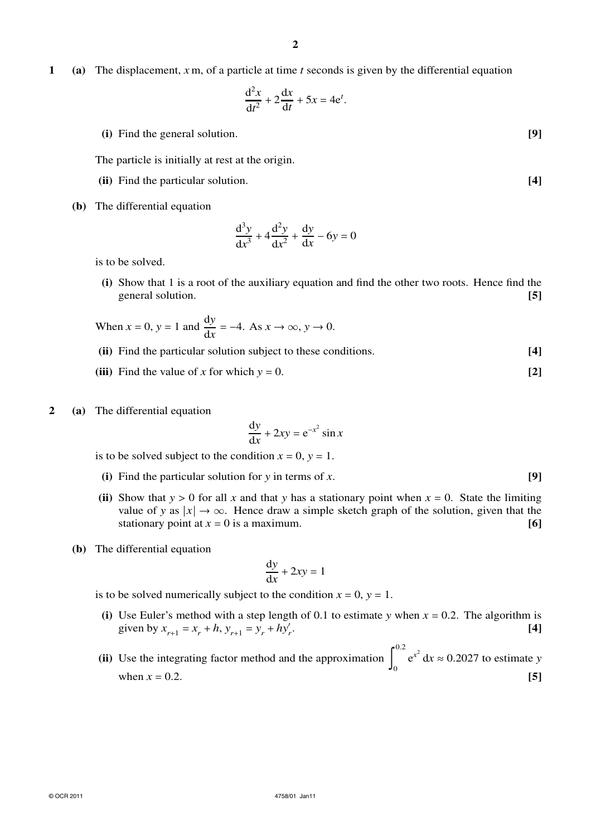**1 (a)** The displacement, *x* m, of a particle at time *t* seconds is given by the differential equation

$$
\frac{\mathrm{d}^2 x}{\mathrm{d}t^2} + 2\frac{\mathrm{d}x}{\mathrm{d}t} + 5x = 4\mathrm{e}^t.
$$

**(i)** Find the general solution. **[9]**

The particle is initially at rest at the origin.

- **(ii)** Find the particular solution. **[4]**
- **(b)** The differential equation

$$
\frac{d^3y}{dx^3} + 4\frac{d^2y}{dx^2} + \frac{dy}{dx} - 6y = 0
$$

is to be solved.

**(i)** Show that 1 is a root of the auxiliary equation and find the other two roots. Hence find the general solution. **[5]**

When 
$$
x = 0
$$
,  $y = 1$  and  $\frac{dy}{dx} = -4$ . As  $x \to \infty$ ,  $y \to 0$ .

- **(ii)** Find the particular solution subject to these conditions. **[4]**
- **(iii)** Find the value of *x* for which  $y = 0$ . [2]
- **2 (a)** The differential equation

$$
\frac{\mathrm{d}y}{\mathrm{d}x} + 2xy = e^{-x^2} \sin x
$$

is to be solved subject to the condition  $x = 0$ ,  $y = 1$ .

- **(i)** Find the particular solution for *y* in terms of *x*. **[9]**
- (ii) Show that  $y > 0$  for all x and that y has a stationary point when  $x = 0$ . State the limiting value of *y* as  $|x| \to \infty$ . Hence draw a simple sketch graph of the solution, given that the stationary point at  $x = 0$  is a maximum. **[6] [6]**
- **(b)** The differential equation

$$
\frac{\mathrm{d}y}{\mathrm{d}x} + 2xy = 1
$$

is to be solved numerically subject to the condition  $x = 0$ ,  $y = 1$ .

- (i) Use Euler's method with a step length of 0.1 to estimate *y* when  $x = 0.2$ . The algorithm is given by  $x_{r+1} = x_r + h$ ,  $y_{r+1} = y_r + hy'_r$ . **[4]**
- **(ii)** Use the integrating factor method and the approximation 0.2 0  $e^{x^2} dx \approx 0.2027$  to estimate *y* when  $x = 0.2$ . [5]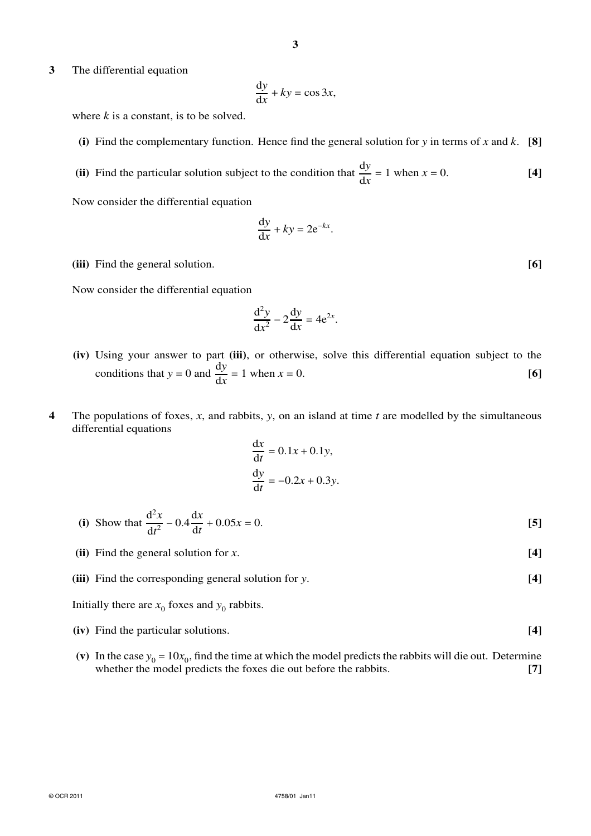**3** The differential equation

$$
\frac{\mathrm{d}y}{\mathrm{d}x} + ky = \cos 3x,
$$

where  $k$  is a constant, is to be solved.

- **(i)** Find the complementary function. Hence find the general solution for *y* in terms of *x* and *k*. **[8]**
- (ii) Find the particular solution subject to the condition that  $\frac{dy}{dx} = 1$  when  $x = 0$ . [4]

Now consider the differential equation

$$
\frac{\mathrm{d}y}{\mathrm{d}x} + ky = 2e^{-kx}.
$$

**(iii)** Find the general solution. **[6]**

Now consider the differential equation

$$
\frac{\mathrm{d}^2 y}{\mathrm{d}x^2} - 2\frac{\mathrm{d}y}{\mathrm{d}x} = 4\mathrm{e}^{2x}.
$$

- **(iv)** Using your answer to part **(iii)**, or otherwise, solve this differential equation subject to the conditions that  $y = 0$  and  $\frac{dy}{dx} = 1$  when  $x = 0$ . [6]
- **4** The populations of foxes, *x*, and rabbits, *y*, on an island at time *t* are modelled by the simultaneous differential equations

$$
\frac{dx}{dt} = 0.1x + 0.1y,
$$
  

$$
\frac{dy}{dt} = -0.2x + 0.3y.
$$

(i) Show that 
$$
\frac{d^2x}{dt^2} - 0.4\frac{dx}{dt} + 0.05x = 0.
$$
 [5]

- **(ii)** Find the general solution for *x*. **[4]**
- **(iii)** Find the corresponding general solution for *y*. **[4]**

Initially there are  $x_0$  foxes and  $y_0$  rabbits.

- **(iv)** Find the particular solutions. **[4]**
- (v) In the case  $y_0 = 10x_0$ , find the time at which the model predicts the rabbits will die out. Determine whether the model predicts the foxes die out before the rabbits. **[7]**